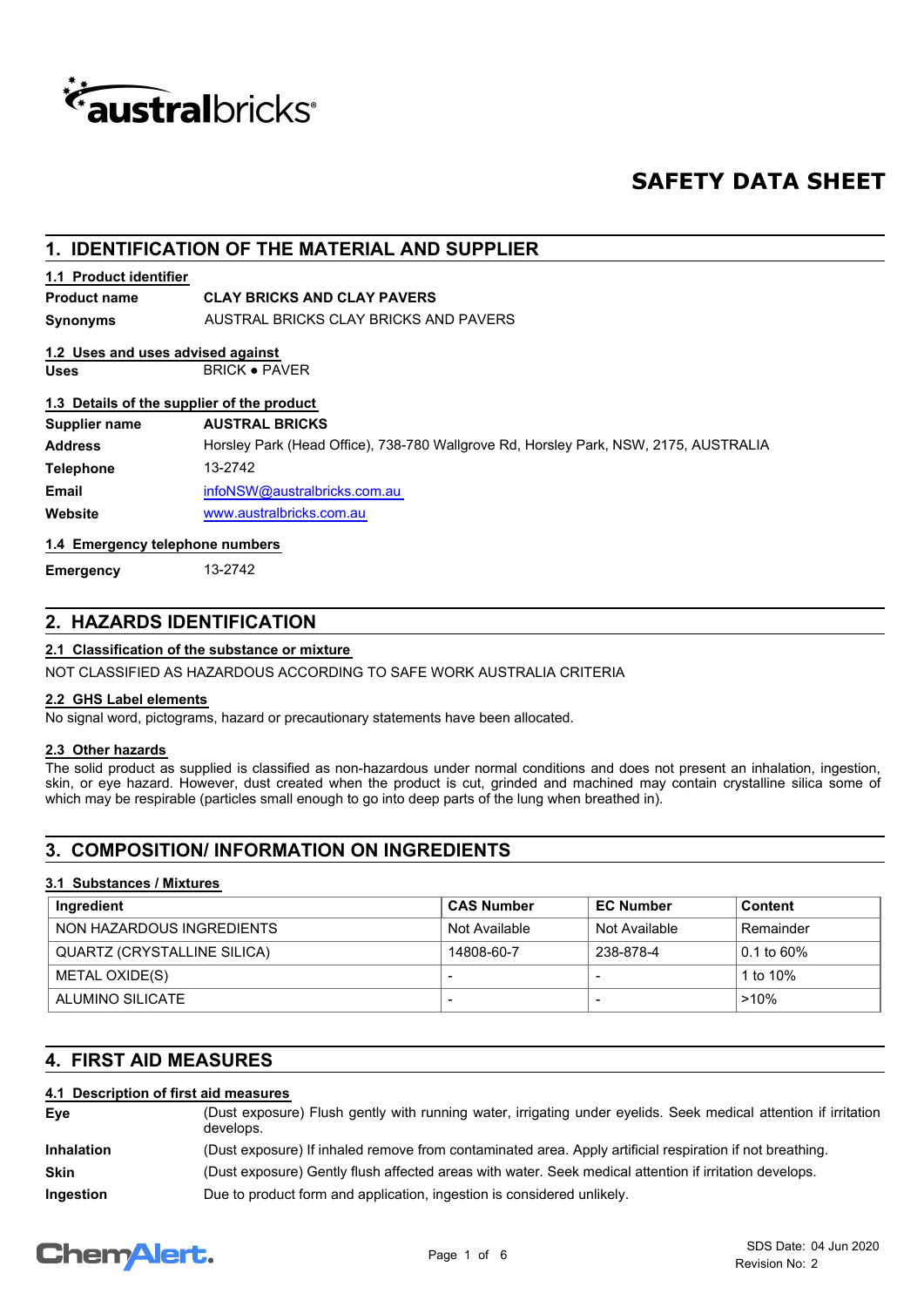

# **SAFETY DATA SHEET**

# **1. IDENTIFICATION OF THE MATERIAL AND SUPPLIER**

### **1.1 Product identifier**

**Product name CLAY BRICKS AND CLAY PAVERS**

**Synonyms** AUSTRAL BRICKS CLAY BRICKS AND PAVERS

# **1.2 Uses and uses advised against**

Uses BRICK · PAVER

### **1.3 Details of the supplier of the product**

| Supplier name    | <b>AUSTRAL BRICKS</b>                                                                |
|------------------|--------------------------------------------------------------------------------------|
| <b>Address</b>   | Horsley Park (Head Office), 738-780 Wallgrove Rd, Horsley Park, NSW, 2175, AUSTRALIA |
| <b>Telephone</b> | 13-2742                                                                              |
| Email            | infoNSW@australbricks.com.au                                                         |
| Website          | www.australbricks.com.au                                                             |

**1.4 Emergency telephone numbers**

**Emergency** 13-2742

# **2. HAZARDS IDENTIFICATION**

### **2.1 Classification of the substance or mixture**

NOT CLASSIFIED AS HAZARDOUS ACCORDING TO SAFE WORK AUSTRALIA CRITERIA

### **2.2 GHS Label elements**

No signal word, pictograms, hazard or precautionary statements have been allocated.

# **2.3 Other hazards**

The solid product as supplied is classified as non-hazardous under normal conditions and does not present an inhalation, ingestion, skin, or eye hazard. However, dust created when the product is cut, grinded and machined may contain crystalline silica some of which may be respirable (particles small enough to go into deep parts of the lung when breathed in).

# **3. COMPOSITION/ INFORMATION ON INGREDIENTS**

### **3.1 Substances / Mixtures**

| Ingredient                  | <b>CAS Number</b>        | <b>EC Number</b> | <b>Content</b> |
|-----------------------------|--------------------------|------------------|----------------|
| NON HAZARDOUS INGREDIENTS   | Not Available            | Not Available    | Remainder      |
| QUARTZ (CRYSTALLINE SILICA) | 14808-60-7               | 238-878-4        | $0.1$ to 60%   |
| METAL OXIDE(S)              |                          |                  | 1 to 10%       |
| ALUMINO SILICATE            | $\overline{\phantom{0}}$ |                  | $>10\%$        |

# **4. FIRST AID MEASURES**

### **4.1 Description of first aid measures**

| Eye               | (Dust exposure) Flush gently with running water, irrigating under eyelids. Seek medical attention if irritation<br>develops. |
|-------------------|------------------------------------------------------------------------------------------------------------------------------|
| <b>Inhalation</b> | (Dust exposure) If inhaled remove from contaminated area. Apply artificial respiration if not breathing.                     |
| <b>Skin</b>       | (Dust exposure) Gently flush affected areas with water. Seek medical attention if irritation develops.                       |
| Ingestion         | Due to product form and application, ingestion is considered unlikely.                                                       |

# **ChemAlert.**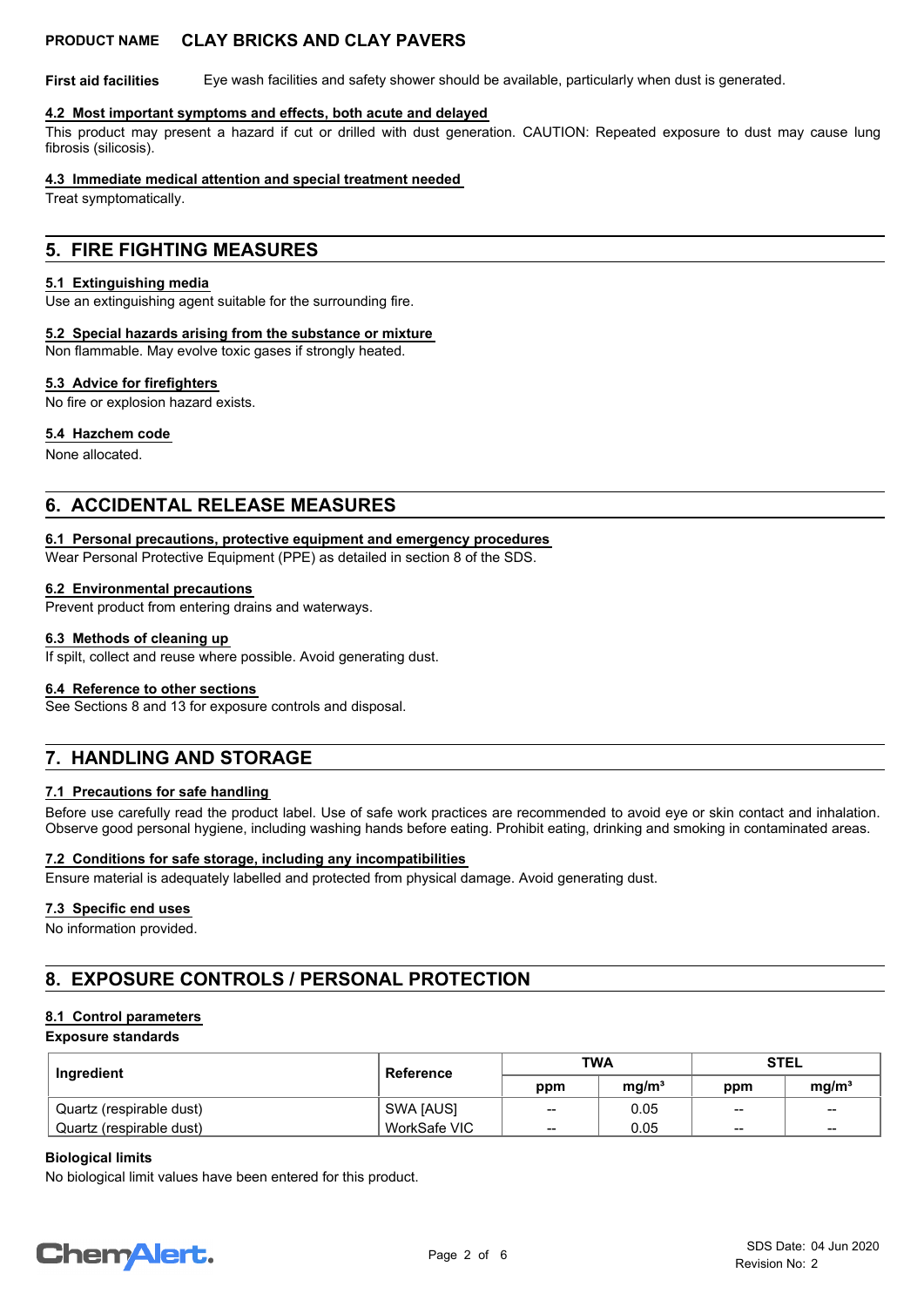**First aid facilities** Eye wash facilities and safety shower should be available, particularly when dust is generated.

#### **4.2 Most important symptoms and effects, both acute and delayed**

This product may present a hazard if cut or drilled with dust generation. CAUTION: Repeated exposure to dust may cause lung fibrosis (silicosis).

### **4.3 Immediate medical attention and special treatment needed**

Treat symptomatically.

# **5. FIRE FIGHTING MEASURES**

#### **5.1 Extinguishing media**

Use an extinguishing agent suitable for the surrounding fire.

#### **5.2 Special hazards arising from the substance or mixture**

Non flammable. May evolve toxic gases if strongly heated.

#### **5.3 Advice for firefighters**

No fire or explosion hazard exists.

#### **5.4 Hazchem code**

None allocated.

# **6. ACCIDENTAL RELEASE MEASURES**

#### **6.1 Personal precautions, protective equipment and emergency procedures**

Wear Personal Protective Equipment (PPE) as detailed in section 8 of the SDS.

#### **6.2 Environmental precautions**

Prevent product from entering drains and waterways.

#### **6.3 Methods of cleaning up**

If spilt, collect and reuse where possible. Avoid generating dust.

#### **6.4 Reference to other sections**

See Sections 8 and 13 for exposure controls and disposal.

# **7. HANDLING AND STORAGE**

### **7.1 Precautions for safe handling**

Before use carefully read the product label. Use of safe work practices are recommended to avoid eye or skin contact and inhalation. Observe good personal hygiene, including washing hands before eating. Prohibit eating, drinking and smoking in contaminated areas.

#### **7.2 Conditions for safe storage, including any incompatibilities**

Ensure material is adequately labelled and protected from physical damage. Avoid generating dust.

#### **7.3 Specific end uses**

No information provided.

# **8. EXPOSURE CONTROLS / PERSONAL PROTECTION**

### **8.1 Control parameters**

#### **Exposure standards**

| Ingredient                 | Reference    | <b>TWA</b> |                   | <b>STEL</b>     |                   |
|----------------------------|--------------|------------|-------------------|-----------------|-------------------|
|                            |              | ppm        | mq/m <sup>3</sup> | ppm             | mq/m <sup>3</sup> |
| ' Quartz (respirable dust) | SWA [AUS]    | --         | 0.05              | $\qquad \qquad$ | $\qquad \qquad$   |
| Quartz (respirable dust)   | WorkSafe VIC | --         | 0.05              | $\sim$          | $\sim$            |

#### **Biological limits**

No biological limit values have been entered for this product.

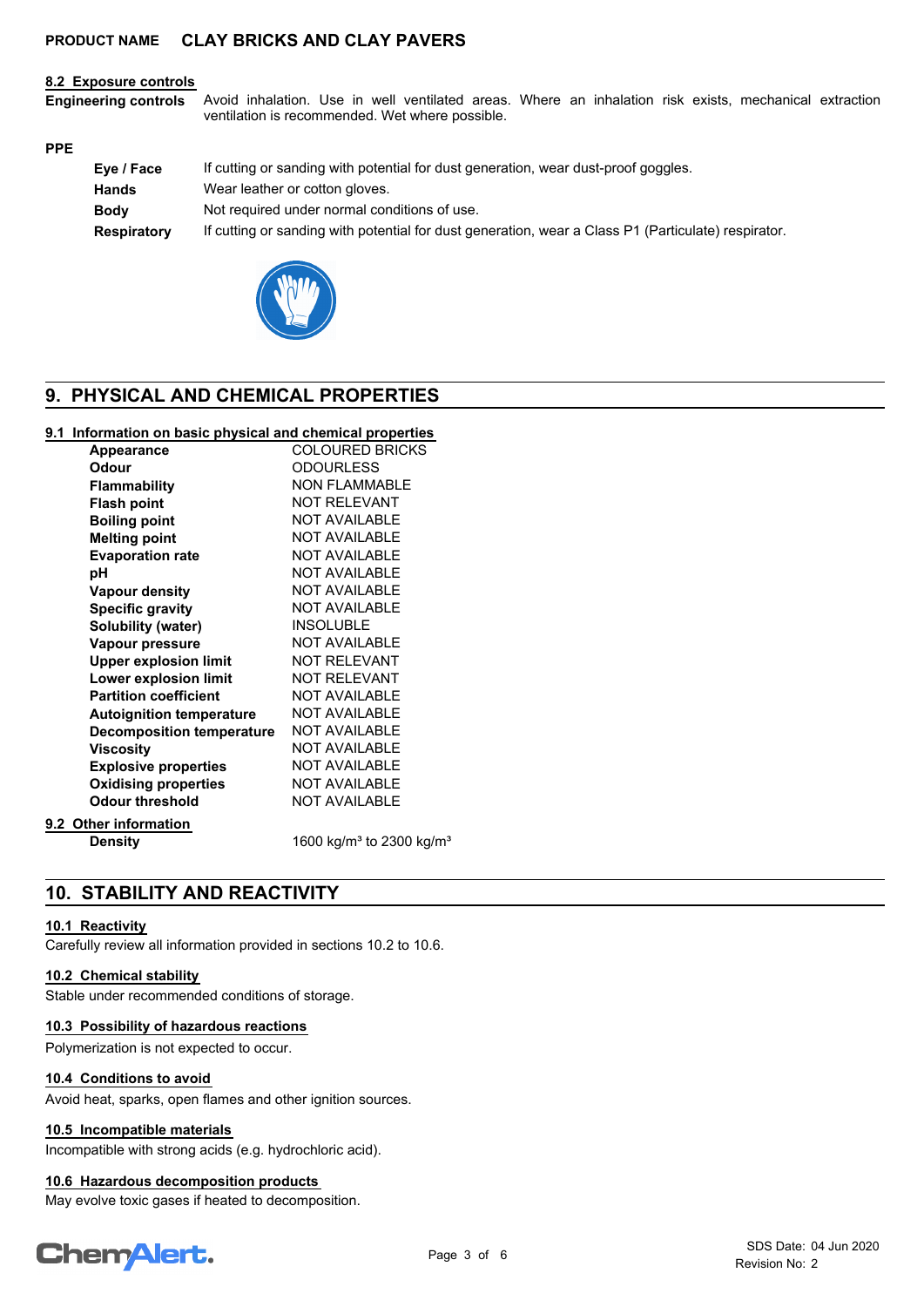#### **8.2 Exposure controls**

Avoid inhalation. Use in well ventilated areas. Where an inhalation risk exists, mechanical extraction ventilation is recommended. Wet where possible. **Engineering controls**

#### **PPE**

| Eye / Face  | If cutting or sanding with potential for dust generation, wear dust-proof goggles.                  |
|-------------|-----------------------------------------------------------------------------------------------------|
| Hands       | Wear leather or cotton gloves.                                                                      |
| <b>Body</b> | Not required under normal conditions of use.                                                        |
| Respiratory | If cutting or sanding with potential for dust generation, wear a Class P1 (Particulate) respirator. |



# **9. PHYSICAL AND CHEMICAL PROPERTIES**

### **9.1 Information on basic physical and chemical properties**

| <b>Appearance</b>                | <b>COLOURED BRICKS</b>                           |
|----------------------------------|--------------------------------------------------|
| <b>Odour</b>                     | <b>ODOURLESS</b>                                 |
| <b>Flammability</b>              | <b>NON FLAMMABLE</b>                             |
| <b>Flash point</b>               | <b>NOT RELEVANT</b>                              |
| <b>Boiling point</b>             | <b>NOT AVAILABLE</b>                             |
| <b>Melting point</b>             | <b>NOT AVAILABLE</b>                             |
| <b>Evaporation rate</b>          | <b>NOT AVAILABLE</b>                             |
| рH                               | <b>NOT AVAILABLE</b>                             |
| <b>Vapour density</b>            | <b>NOT AVAILABLE</b>                             |
| <b>Specific gravity</b>          | <b>NOT AVAILABLE</b>                             |
| Solubility (water)               | <b>INSOLUBLE</b>                                 |
| Vapour pressure                  | <b>NOT AVAILABLE</b>                             |
| <b>Upper explosion limit</b>     | <b>NOT RELEVANT</b>                              |
| Lower explosion limit            | <b>NOT RELEVANT</b>                              |
| <b>Partition coefficient</b>     | <b>NOT AVAILABLE</b>                             |
| <b>Autoignition temperature</b>  | <b>NOT AVAILABLE</b>                             |
| <b>Decomposition temperature</b> | <b>NOT AVAILABLE</b>                             |
| <b>Viscosity</b>                 | <b>NOT AVAILABLE</b>                             |
| <b>Explosive properties</b>      | <b>NOT AVAILABLE</b>                             |
| <b>Oxidising properties</b>      | <b>NOT AVAILABLE</b>                             |
| <b>Odour threshold</b>           | <b>NOT AVAILABLE</b>                             |
| 9.2 Other information            |                                                  |
| <b>Density</b>                   | 1600 kg/m <sup>3</sup> to 2300 kg/m <sup>3</sup> |

# **10. STABILITY AND REACTIVITY**

### **10.1 Reactivity**

Carefully review all information provided in sections 10.2 to 10.6.

# **10.2 Chemical stability**

Stable under recommended conditions of storage.

#### **10.3 Possibility of hazardous reactions**

Polymerization is not expected to occur.

### **10.4 Conditions to avoid**

Avoid heat, sparks, open flames and other ignition sources.

### **10.5 Incompatible materials**

Incompatible with strong acids (e.g. hydrochloric acid).

#### **10.6 Hazardous decomposition products**

May evolve toxic gases if heated to decomposition.

# **ChemAlert.**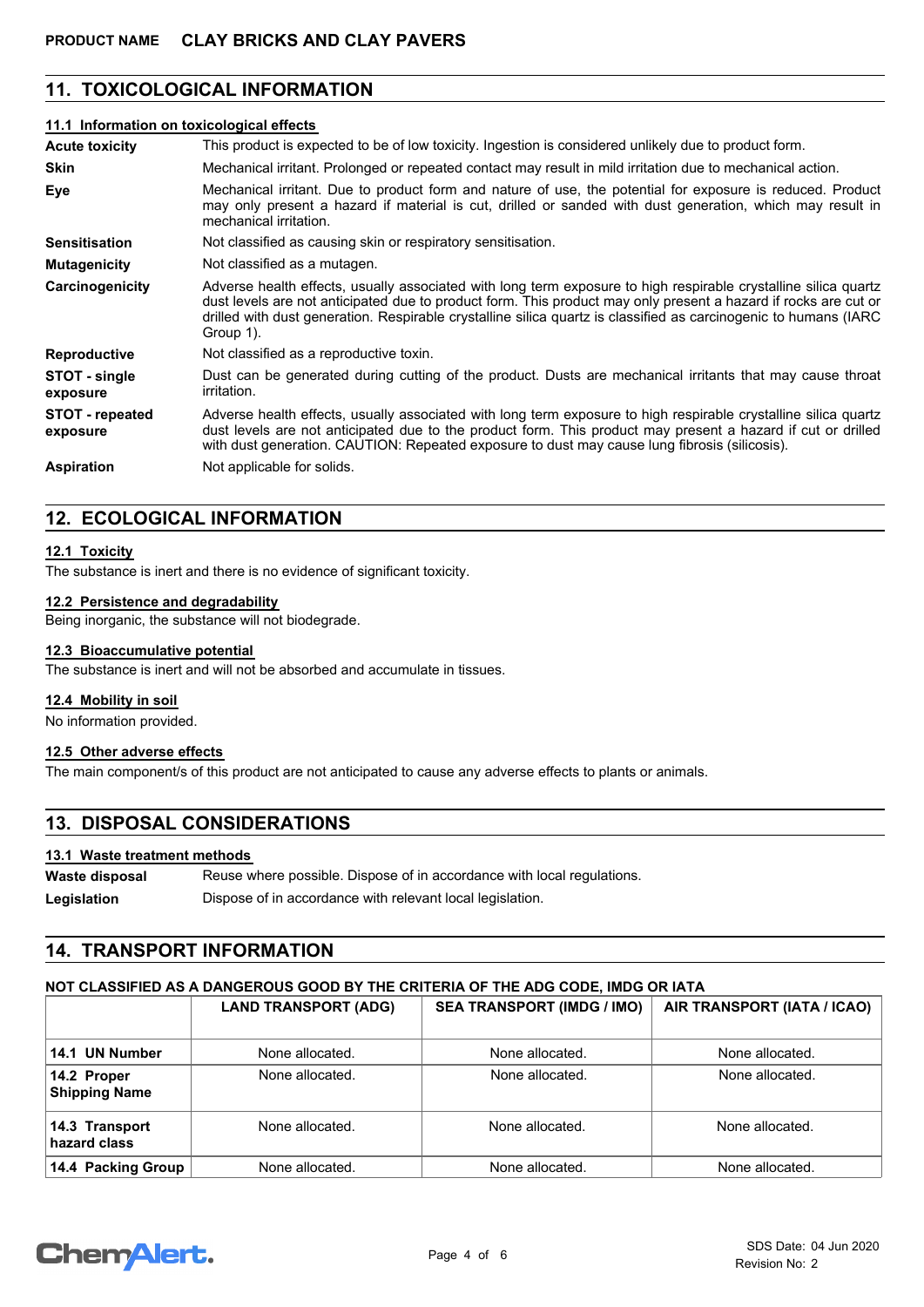# **11. TOXICOLOGICAL INFORMATION**

#### **11.1 Information on toxicological effects**

| <b>Acute toxicity</b>              | This product is expected to be of low toxicity. Ingestion is considered unlikely due to product form.                                                                                                                                                                                                                                                               |
|------------------------------------|---------------------------------------------------------------------------------------------------------------------------------------------------------------------------------------------------------------------------------------------------------------------------------------------------------------------------------------------------------------------|
| <b>Skin</b>                        | Mechanical irritant. Prolonged or repeated contact may result in mild irritation due to mechanical action.                                                                                                                                                                                                                                                          |
| Eye                                | Mechanical irritant. Due to product form and nature of use, the potential for exposure is reduced. Product<br>may only present a hazard if material is cut, drilled or sanded with dust generation, which may result in<br>mechanical irritation.                                                                                                                   |
| <b>Sensitisation</b>               | Not classified as causing skin or respiratory sensitisation.                                                                                                                                                                                                                                                                                                        |
| <b>Mutagenicity</b>                | Not classified as a mutagen.                                                                                                                                                                                                                                                                                                                                        |
| Carcinogenicity                    | Adverse health effects, usually associated with long term exposure to high respirable crystalline silica quartz<br>dust levels are not anticipated due to product form. This product may only present a hazard if rocks are cut or<br>drilled with dust generation. Respirable crystalline silica quartz is classified as carcinogenic to humans (IARC<br>Group 1). |
| <b>Reproductive</b>                | Not classified as a reproductive toxin.                                                                                                                                                                                                                                                                                                                             |
| STOT - single<br>exposure          | Dust can be generated during cutting of the product. Dusts are mechanical irritants that may cause throat<br><i>irritation.</i>                                                                                                                                                                                                                                     |
| <b>STOT</b> - repeated<br>exposure | Adverse health effects, usually associated with long term exposure to high respirable crystalline silica quartz<br>dust levels are not anticipated due to the product form. This product may present a hazard if cut or drilled<br>with dust generation. CAUTION: Repeated exposure to dust may cause lung fibrosis (silicosis).                                    |
| <b>Aspiration</b>                  | Not applicable for solids.                                                                                                                                                                                                                                                                                                                                          |

# **12. ECOLOGICAL INFORMATION**

### **12.1 Toxicity**

The substance is inert and there is no evidence of significant toxicity.

#### **12.2 Persistence and degradability**

Being inorganic, the substance will not biodegrade.

# **12.3 Bioaccumulative potential**

The substance is inert and will not be absorbed and accumulate in tissues.

#### **12.4 Mobility in soil**

No information provided.

### **12.5 Other adverse effects**

The main component/s of this product are not anticipated to cause any adverse effects to plants or animals.

# **13. DISPOSAL CONSIDERATIONS**

#### **13.1 Waste treatment methods**

Reuse where possible. Dispose of in accordance with local regulations. **Waste disposal** Legislation **Dispose of in accordance with relevant local legislation.** 

# **14. TRANSPORT INFORMATION**

### **NOT CLASSIFIED AS A DANGEROUS GOOD BY THE CRITERIA OF THE ADG CODE, IMDG OR IATA**

|                                     | <b>LAND TRANSPORT (ADG)</b> | <b>SEA TRANSPORT (IMDG / IMO)</b> | AIR TRANSPORT (IATA / ICAO) |
|-------------------------------------|-----------------------------|-----------------------------------|-----------------------------|
| 14.1 UN Number                      | None allocated.             | None allocated.                   | None allocated.             |
| 14.2 Proper<br><b>Shipping Name</b> | None allocated.             | None allocated.                   | None allocated.             |
| 14.3 Transport<br>hazard class      | None allocated.             | None allocated.                   | None allocated.             |
| 14.4 Packing Group                  | None allocated.             | None allocated.                   | None allocated.             |

# **Chemalert.**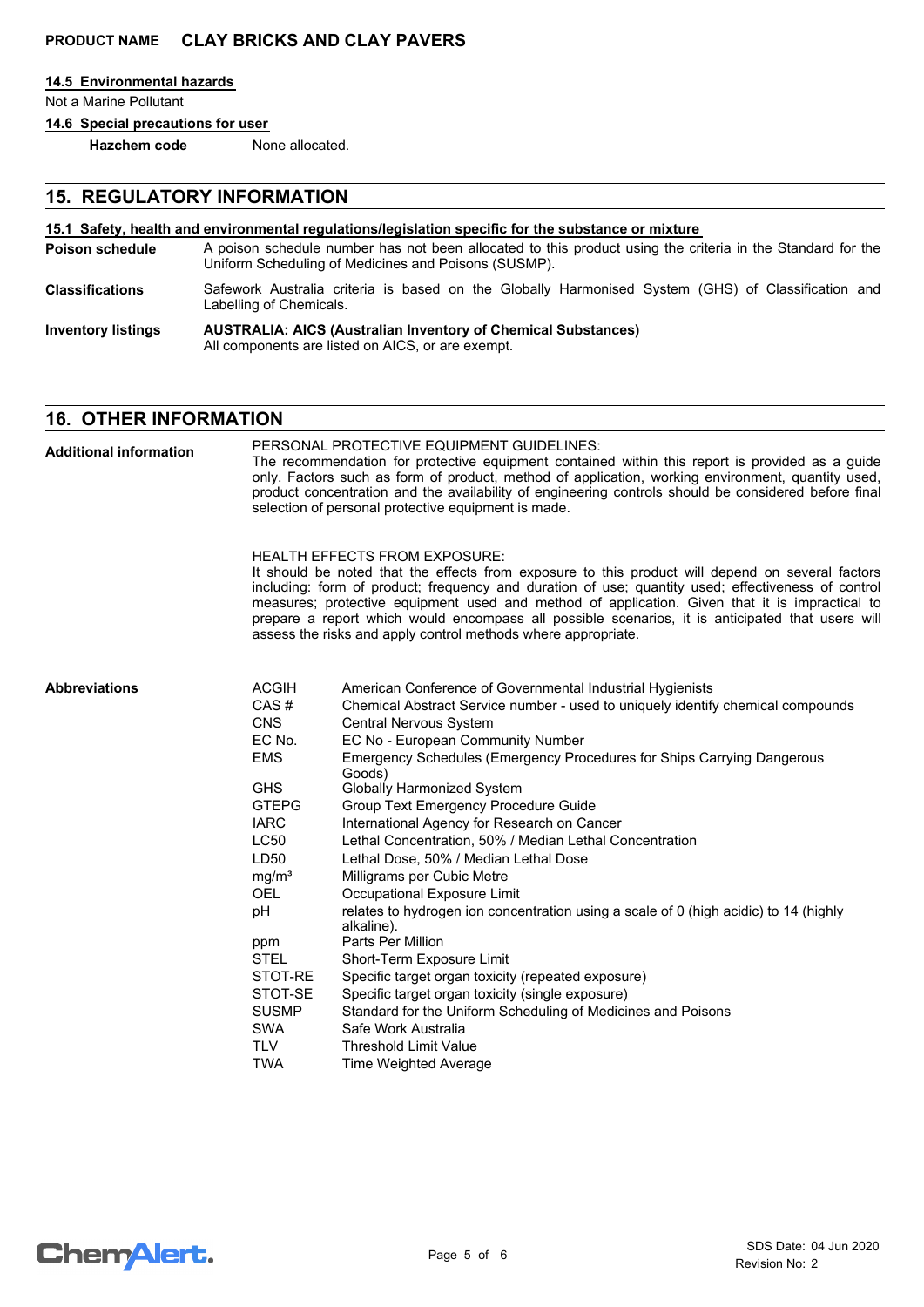Labelling of Chemicals.

#### **14.5 Environmental hazards**

Not a Marine Pollutant

**14.6 Special precautions for user**

**Hazchem code** None allocated.

# **15. REGULATORY INFORMATION**

#### **15.1 Safety, health and environmental regulations/legislation specific for the substance or mixture**

- A poison schedule number has not been allocated to this product using the criteria in the Standard for the Uniform Scheduling of Medicines and Poisons (SUSMP). **Poison schedule** Safework Australia criteria is based on the Globally Harmonised System (GHS) of Classification and **Classifications**
- **AUSTRALIA: AICS (Australian Inventory of Chemical Substances)** All components are listed on AICS, or are exempt. **Inventory listings**

# **16. OTHER INFORMATION**

PERSONAL PROTECTIVE EQUIPMENT GUIDELINES: The recommendation for protective equipment contained within this report is provided as a guide only. Factors such as form of product, method of application, working environment, quantity used, product concentration and the availability of engineering controls should be considered before final selection of personal protective equipment is made. HEALTH EFFECTS FROM EXPOSURE: It should be noted that the effects from exposure to this product will depend on several factors including: form of product; frequency and duration of use; quantity used; effectiveness of control measures; protective equipment used and method of application. Given that it is impractical to prepare a report which would encompass all possible scenarios, it is anticipated that users will assess the risks and apply control methods where appropriate. ACGIH American Conference of Governmental Industrial Hygienists CAS # Chemical Abstract Service number - used to uniquely identify chemical compounds Control Nervous System **Abbreviations Additional information**

| UNJ               | Central Netvous System                                                                             |
|-------------------|----------------------------------------------------------------------------------------------------|
| EC No.            | EC No - European Community Number                                                                  |
| <b>EMS</b>        | Emergency Schedules (Emergency Procedures for Ships Carrying Dangerous<br>Goods)                   |
| <b>GHS</b>        | <b>Globally Harmonized System</b>                                                                  |
| <b>GTEPG</b>      | Group Text Emergency Procedure Guide                                                               |
| <b>IARC</b>       | International Agency for Research on Cancer                                                        |
| <b>LC50</b>       | Lethal Concentration, 50% / Median Lethal Concentration                                            |
| LD50              | Lethal Dose, 50% / Median Lethal Dose                                                              |
| mg/m <sup>3</sup> | Milligrams per Cubic Metre                                                                         |
| OEL.              | Occupational Exposure Limit                                                                        |
| рH                | relates to hydrogen ion concentration using a scale of 0 (high acidic) to 14 (highly<br>alkaline). |
| ppm               | Parts Per Million                                                                                  |
| STEL              | Short-Term Exposure Limit                                                                          |
| STOT-RE           | Specific target organ toxicity (repeated exposure)                                                 |
| STOT-SE           | Specific target organ toxicity (single exposure)                                                   |
| <b>SUSMP</b>      | Standard for the Uniform Scheduling of Medicines and Poisons                                       |
| SWA               | Safe Work Australia                                                                                |
| TLV               | <b>Threshold Limit Value</b>                                                                       |
| TWA               | Time Weighted Average                                                                              |